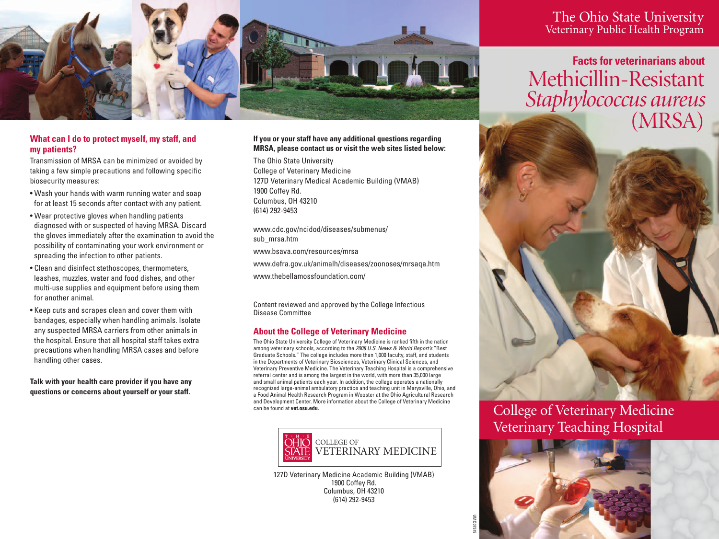

# **What can I do to protect myself, my staff, and my patients?**

Transmission of MRSA can be minimized or avoided by taking a few simple precautions and following specific biosecurity measures:

- Wash your hands with warm running water and soap for at least 15 seconds after contact with any patient.
- Wear protective gloves when handling patients diagnosed with or suspected of having MRSA. Discard the gloves immediately after the examination to avoid the possibility of contaminating your work environment or spreading the infection to other patients.
- Clean and disinfect stethoscopes, thermometers, leashes, muzzles, water and food dishes, and other multi-use supplies and equipment before using them for another animal.
- Keep cuts and scrapes clean and cover them with bandages, especially when handling animals. Isolate any suspected MRSA carriers from other animals in the hospital. Ensure that all hospital staff takes extra precautions when handling MRSA cases and before handling other cases.

**Talk with your health care provider if you have any questions or concerns about yourself or your staff.**

### **If you or your staff have any additional questions regarding MRSA, please contact us or visit the web sites listed below:**

The Ohio State University College of Veterinary Medicine 127D Veterinary Medical Academic Building (VMAB) 1900 Coffey Rd. Columbus, OH 43210 (614) 292-9453

www.cdc.gov/ncidod/diseases/submenus/ sub\_mrsa.htm www.bsava.com/resources/mrsa www.defra.gov.uk/animalh/diseases/zoonoses/mrsaqa.htm www.thebellamossfoundation.com/

Content reviewed and approved by the College Infectious Disease Committee

# **About the College of Veterinary Medicine**

The Ohio State University College of Veterinary Medicine is ranked fifth in the nation among veterinary schools, according to the *2008 U.S. News & World Report's* "Best Graduate Schools." The college includes more than 1,000 faculty, staff, and students in the Departments of Veterinary Biosciences, Veterinary Clinical Sciences, and Veterinary Preventive Medicine. The Veterinary Teaching Hospital is a comprehensive referral center and is among the largest in the world, with more than 35,000 large and small animal patients each year. In addition, the college operates a nationally recognized large-animal ambulatory practice and teaching unit in Marysville, Ohio, and a Food Animal Health Research Program in Wooster at the Ohio Agricultural Research and Development Center. More information about the College of Veterinary Medicine can be found at **vet.osu.edu**.



127D Veterinary Medicine Academic Building (VMAB) 1900 Coffey Rd. Columbus, OH 43210 (614) 292-9453

The Ohio State University Veterinary Public Health Program

**Facts for veterinarians about**  Methicillin-Resistant *Staphylococcus aureus* (MRSA)



College of Veterinary Medicine Veterinary Teaching Hospital



UMC 07515